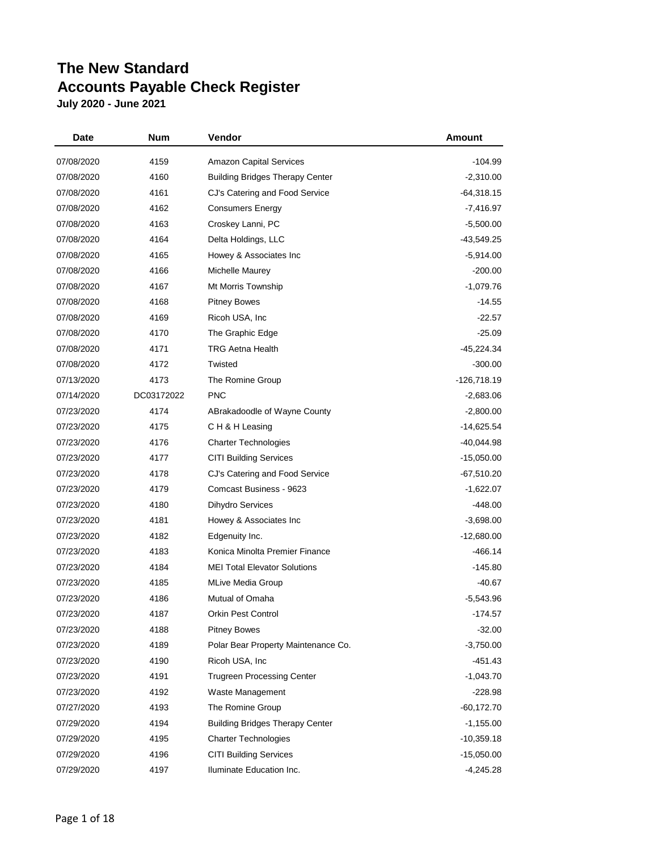| Date       | Num        | Vendor                                 | Amount       |
|------------|------------|----------------------------------------|--------------|
| 07/08/2020 | 4159       | <b>Amazon Capital Services</b>         | $-104.99$    |
| 07/08/2020 | 4160       | <b>Building Bridges Therapy Center</b> | $-2,310.00$  |
| 07/08/2020 | 4161       | CJ's Catering and Food Service         | $-64,318.15$ |
| 07/08/2020 | 4162       | <b>Consumers Energy</b>                | $-7,416.97$  |
| 07/08/2020 | 4163       | Croskey Lanni, PC                      | $-5,500.00$  |
| 07/08/2020 | 4164       | Delta Holdings, LLC                    | $-43,549.25$ |
| 07/08/2020 | 4165       | Howey & Associates Inc                 | $-5,914.00$  |
| 07/08/2020 | 4166       | Michelle Maurey                        | $-200.00$    |
| 07/08/2020 | 4167       | Mt Morris Township                     | $-1,079.76$  |
| 07/08/2020 | 4168       | <b>Pitney Bowes</b>                    | $-14.55$     |
| 07/08/2020 | 4169       | Ricoh USA, Inc.                        | $-22.57$     |
| 07/08/2020 | 4170       | The Graphic Edge                       | $-25.09$     |
| 07/08/2020 | 4171       | <b>TRG Aetna Health</b>                | $-45,224.34$ |
| 07/08/2020 | 4172       | Twisted                                | $-300.00$    |
| 07/13/2020 | 4173       | The Romine Group                       | -126,718.19  |
| 07/14/2020 | DC03172022 | <b>PNC</b>                             | $-2,683.06$  |
| 07/23/2020 | 4174       | ABrakadoodle of Wayne County           | $-2,800.00$  |
| 07/23/2020 | 4175       | CH & H Leasing                         | -14,625.54   |
| 07/23/2020 | 4176       | <b>Charter Technologies</b>            | -40,044.98   |
| 07/23/2020 | 4177       | <b>CITI Building Services</b>          | $-15,050.00$ |
| 07/23/2020 | 4178       | CJ's Catering and Food Service         | $-67,510.20$ |
| 07/23/2020 | 4179       | Comcast Business - 9623                | $-1,622.07$  |
| 07/23/2020 | 4180       | <b>Dihydro Services</b>                | $-448.00$    |
| 07/23/2020 | 4181       | Howey & Associates Inc                 | $-3,698.00$  |
| 07/23/2020 | 4182       | Edgenuity Inc.                         | $-12,680.00$ |
| 07/23/2020 | 4183       | Konica Minolta Premier Finance         | -466.14      |
| 07/23/2020 | 4184       | <b>MEI Total Elevator Solutions</b>    | $-145.80$    |
| 07/23/2020 | 4185       | <b>MLive Media Group</b>               | $-40.67$     |
| 07/23/2020 | 4186       | Mutual of Omaha                        | $-5,543.96$  |
| 07/23/2020 | 4187       | Orkin Pest Control                     | -174.57      |
| 07/23/2020 | 4188       | <b>Pitney Bowes</b>                    | $-32.00$     |
| 07/23/2020 | 4189       | Polar Bear Property Maintenance Co.    | $-3,750.00$  |
| 07/23/2020 | 4190       | Ricoh USA, Inc.                        | $-451.43$    |
| 07/23/2020 | 4191       | <b>Trugreen Processing Center</b>      | $-1,043.70$  |
| 07/23/2020 | 4192       | Waste Management                       | $-228.98$    |
| 07/27/2020 | 4193       | The Romine Group                       | $-60,172.70$ |
| 07/29/2020 | 4194       | <b>Building Bridges Therapy Center</b> | $-1,155.00$  |
| 07/29/2020 | 4195       | <b>Charter Technologies</b>            | $-10,359.18$ |
| 07/29/2020 | 4196       | <b>CITI Building Services</b>          | $-15,050.00$ |
| 07/29/2020 | 4197       | Iluminate Education Inc.               | $-4,245.28$  |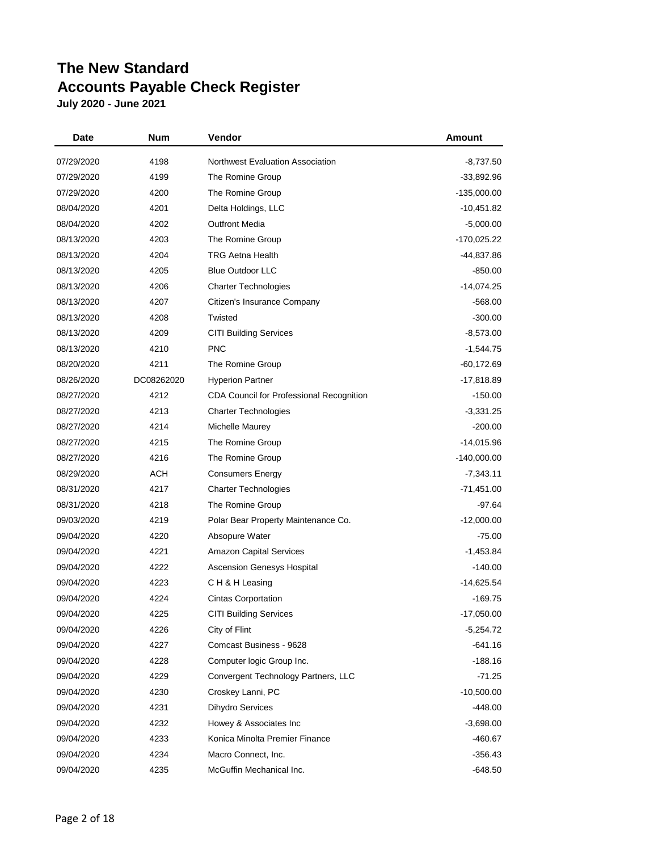| Date       | Num        | Vendor                                   | <b>Amount</b> |
|------------|------------|------------------------------------------|---------------|
| 07/29/2020 | 4198       | Northwest Evaluation Association         | -8,737.50     |
| 07/29/2020 | 4199       | The Romine Group                         | $-33,892.96$  |
| 07/29/2020 | 4200       | The Romine Group                         | -135,000.00   |
| 08/04/2020 | 4201       | Delta Holdings, LLC                      | -10,451.82    |
| 08/04/2020 | 4202       | <b>Outfront Media</b>                    | $-5,000.00$   |
| 08/13/2020 | 4203       | The Romine Group                         | -170,025.22   |
| 08/13/2020 | 4204       | <b>TRG Aetna Health</b>                  | -44,837.86    |
| 08/13/2020 | 4205       | <b>Blue Outdoor LLC</b>                  | $-850.00$     |
| 08/13/2020 | 4206       | <b>Charter Technologies</b>              | $-14,074.25$  |
| 08/13/2020 | 4207       | Citizen's Insurance Company              | $-568.00$     |
| 08/13/2020 | 4208       | Twisted                                  | $-300.00$     |
| 08/13/2020 | 4209       | <b>CITI Building Services</b>            | $-8,573.00$   |
| 08/13/2020 | 4210       | <b>PNC</b>                               | $-1,544.75$   |
| 08/20/2020 | 4211       | The Romine Group                         | $-60,172.69$  |
| 08/26/2020 | DC08262020 | <b>Hyperion Partner</b>                  | -17,818.89    |
| 08/27/2020 | 4212       | CDA Council for Professional Recognition | $-150.00$     |
| 08/27/2020 | 4213       | <b>Charter Technologies</b>              | $-3,331.25$   |
| 08/27/2020 | 4214       | Michelle Maurey                          | $-200.00$     |
| 08/27/2020 | 4215       | The Romine Group                         | $-14,015.96$  |
| 08/27/2020 | 4216       | The Romine Group                         | -140,000.00   |
| 08/29/2020 | <b>ACH</b> | <b>Consumers Energy</b>                  | $-7,343.11$   |
| 08/31/2020 | 4217       | <b>Charter Technologies</b>              | $-71,451.00$  |
| 08/31/2020 | 4218       | The Romine Group                         | -97.64        |
| 09/03/2020 | 4219       | Polar Bear Property Maintenance Co.      | $-12,000.00$  |
| 09/04/2020 | 4220       | Absopure Water                           | $-75.00$      |
| 09/04/2020 | 4221       | <b>Amazon Capital Services</b>           | $-1,453.84$   |
| 09/04/2020 | 4222       | <b>Ascension Genesys Hospital</b>        | $-140.00$     |
| 09/04/2020 | 4223       | CH & H Leasing                           | $-14,625.54$  |
| 09/04/2020 | 4224       | <b>Cintas Corportation</b>               | $-169.75$     |
| 09/04/2020 | 4225       | <b>CITI Building Services</b>            | $-17,050.00$  |
| 09/04/2020 | 4226       | City of Flint                            | $-5,254.72$   |
| 09/04/2020 | 4227       | Comcast Business - 9628                  | -641.16       |
| 09/04/2020 | 4228       | Computer logic Group Inc.                | $-188.16$     |
| 09/04/2020 | 4229       | Convergent Technology Partners, LLC      | $-71.25$      |
| 09/04/2020 | 4230       | Croskey Lanni, PC                        | $-10,500.00$  |
| 09/04/2020 | 4231       | <b>Dihydro Services</b>                  | $-448.00$     |
| 09/04/2020 | 4232       | Howey & Associates Inc                   | $-3,698.00$   |
| 09/04/2020 | 4233       | Konica Minolta Premier Finance           | -460.67       |
| 09/04/2020 | 4234       | Macro Connect, Inc.                      | -356.43       |
| 09/04/2020 | 4235       | McGuffin Mechanical Inc.                 | $-648.50$     |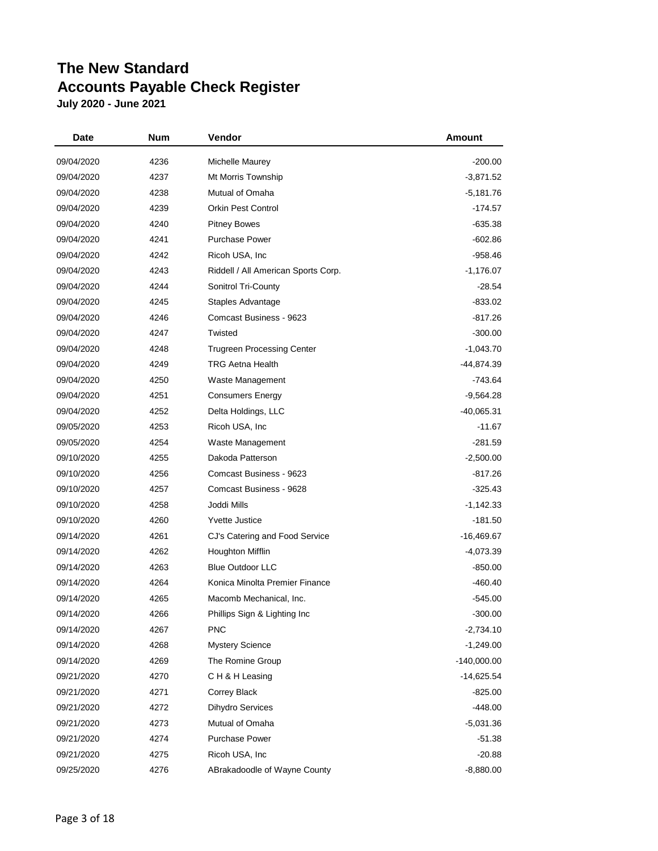| Date       | Num  | Vendor                              | Amount        |
|------------|------|-------------------------------------|---------------|
| 09/04/2020 | 4236 | Michelle Maurey                     | $-200.00$     |
| 09/04/2020 | 4237 | Mt Morris Township                  | $-3,871.52$   |
| 09/04/2020 | 4238 | Mutual of Omaha                     | $-5,181.76$   |
| 09/04/2020 | 4239 | <b>Orkin Pest Control</b>           | -174.57       |
| 09/04/2020 | 4240 | <b>Pitney Bowes</b>                 | $-635.38$     |
| 09/04/2020 | 4241 | <b>Purchase Power</b>               | $-602.86$     |
| 09/04/2020 | 4242 | Ricoh USA, Inc.                     | -958.46       |
| 09/04/2020 | 4243 | Riddell / All American Sports Corp. | $-1,176.07$   |
| 09/04/2020 | 4244 | Sonitrol Tri-County                 | $-28.54$      |
| 09/04/2020 | 4245 | Staples Advantage                   | $-833.02$     |
| 09/04/2020 | 4246 | Comcast Business - 9623             | -817.26       |
| 09/04/2020 | 4247 | Twisted                             | $-300.00$     |
| 09/04/2020 | 4248 | <b>Trugreen Processing Center</b>   | $-1,043.70$   |
| 09/04/2020 | 4249 | <b>TRG Aetna Health</b>             | $-44,874.39$  |
| 09/04/2020 | 4250 | Waste Management                    | -743.64       |
| 09/04/2020 | 4251 | <b>Consumers Energy</b>             | -9,564.28     |
| 09/04/2020 | 4252 | Delta Holdings, LLC                 | $-40,065.31$  |
| 09/05/2020 | 4253 | Ricoh USA, Inc.                     | $-11.67$      |
| 09/05/2020 | 4254 | Waste Management                    | $-281.59$     |
| 09/10/2020 | 4255 | Dakoda Patterson                    | $-2,500.00$   |
| 09/10/2020 | 4256 | Comcast Business - 9623             | -817.26       |
| 09/10/2020 | 4257 | Comcast Business - 9628             | $-325.43$     |
| 09/10/2020 | 4258 | Joddi Mills                         | $-1,142.33$   |
| 09/10/2020 | 4260 | <b>Yvette Justice</b>               | -181.50       |
| 09/14/2020 | 4261 | CJ's Catering and Food Service      | -16,469.67    |
| 09/14/2020 | 4262 | Houghton Mifflin                    | $-4,073.39$   |
| 09/14/2020 | 4263 | <b>Blue Outdoor LLC</b>             | $-850.00$     |
| 09/14/2020 | 4264 | Konica Minolta Premier Finance      | $-460.40$     |
| 09/14/2020 | 4265 | Macomb Mechanical, Inc.             | $-545.00$     |
| 09/14/2020 | 4266 | Phillips Sign & Lighting Inc        | $-300.00$     |
| 09/14/2020 | 4267 | <b>PNC</b>                          | $-2,734.10$   |
| 09/14/2020 | 4268 | <b>Mystery Science</b>              | $-1,249.00$   |
| 09/14/2020 | 4269 | The Romine Group                    | $-140,000.00$ |
| 09/21/2020 | 4270 | CH & H Leasing                      | -14,625.54    |
| 09/21/2020 | 4271 | Correy Black                        | $-825.00$     |
| 09/21/2020 | 4272 | <b>Dihydro Services</b>             | $-448.00$     |
| 09/21/2020 | 4273 | Mutual of Omaha                     | $-5,031.36$   |
| 09/21/2020 | 4274 | <b>Purchase Power</b>               | $-51.38$      |
| 09/21/2020 | 4275 | Ricoh USA, Inc.                     | $-20.88$      |
| 09/25/2020 | 4276 | ABrakadoodle of Wayne County        | $-8,880.00$   |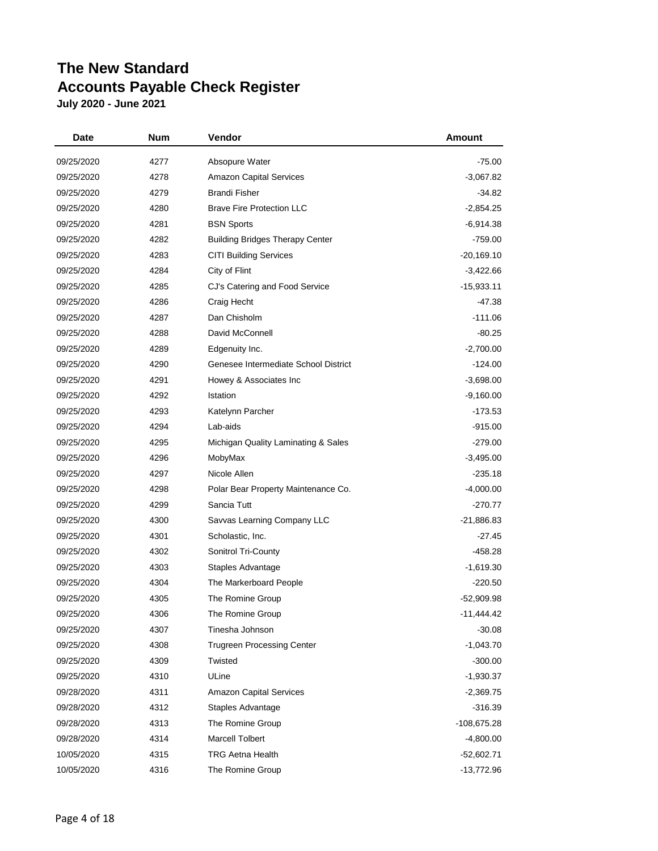| Date       | Num  | Vendor                                 | Amount       |
|------------|------|----------------------------------------|--------------|
| 09/25/2020 | 4277 | Absopure Water                         | $-75.00$     |
| 09/25/2020 | 4278 | <b>Amazon Capital Services</b>         | $-3,067.82$  |
| 09/25/2020 | 4279 | <b>Brandi Fisher</b>                   | $-34.82$     |
| 09/25/2020 | 4280 | <b>Brave Fire Protection LLC</b>       | $-2,854.25$  |
| 09/25/2020 | 4281 | <b>BSN Sports</b>                      | $-6,914.38$  |
| 09/25/2020 | 4282 | <b>Building Bridges Therapy Center</b> | $-759.00$    |
| 09/25/2020 | 4283 | <b>CITI Building Services</b>          | $-20,169.10$ |
| 09/25/2020 | 4284 | City of Flint                          | $-3,422.66$  |
| 09/25/2020 | 4285 | CJ's Catering and Food Service         | $-15,933.11$ |
| 09/25/2020 | 4286 | Craig Hecht                            | -47.38       |
| 09/25/2020 | 4287 | Dan Chisholm                           | $-111.06$    |
| 09/25/2020 | 4288 | David McConnell                        | $-80.25$     |
| 09/25/2020 | 4289 | Edgenuity Inc.                         | $-2,700.00$  |
| 09/25/2020 | 4290 | Genesee Intermediate School District   | $-124.00$    |
| 09/25/2020 | 4291 | Howey & Associates Inc                 | $-3,698.00$  |
| 09/25/2020 | 4292 | Istation                               | $-9,160.00$  |
| 09/25/2020 | 4293 | Katelynn Parcher                       | -173.53      |
| 09/25/2020 | 4294 | Lab-aids                               | $-915.00$    |
| 09/25/2020 | 4295 | Michigan Quality Laminating & Sales    | $-279.00$    |
| 09/25/2020 | 4296 | MobyMax                                | $-3,495.00$  |
| 09/25/2020 | 4297 | Nicole Allen                           | $-235.18$    |
| 09/25/2020 | 4298 | Polar Bear Property Maintenance Co.    | $-4,000.00$  |
| 09/25/2020 | 4299 | Sancia Tutt                            | $-270.77$    |
| 09/25/2020 | 4300 | Savvas Learning Company LLC            | $-21,886.83$ |
| 09/25/2020 | 4301 | Scholastic, Inc.                       | $-27.45$     |
| 09/25/2020 | 4302 | Sonitrol Tri-County                    | -458.28      |
| 09/25/2020 | 4303 | Staples Advantage                      | $-1,619.30$  |
| 09/25/2020 | 4304 | The Markerboard People                 | $-220.50$    |
| 09/25/2020 | 4305 | The Romine Group                       | $-52,909.98$ |
| 09/25/2020 | 4306 | The Romine Group                       | $-11,444.42$ |
| 09/25/2020 | 4307 | Tinesha Johnson                        | $-30.08$     |
| 09/25/2020 | 4308 | <b>Trugreen Processing Center</b>      | $-1,043.70$  |
| 09/25/2020 | 4309 | Twisted                                | $-300.00$    |
| 09/25/2020 | 4310 | ULine                                  | $-1,930.37$  |
| 09/28/2020 | 4311 | <b>Amazon Capital Services</b>         | $-2,369.75$  |
| 09/28/2020 | 4312 | Staples Advantage                      | $-316.39$    |
| 09/28/2020 | 4313 | The Romine Group                       | -108,675.28  |
| 09/28/2020 | 4314 | <b>Marcell Tolbert</b>                 | $-4,800.00$  |
| 10/05/2020 | 4315 | <b>TRG Aetna Health</b>                | $-52,602.71$ |
| 10/05/2020 | 4316 | The Romine Group                       | $-13,772.96$ |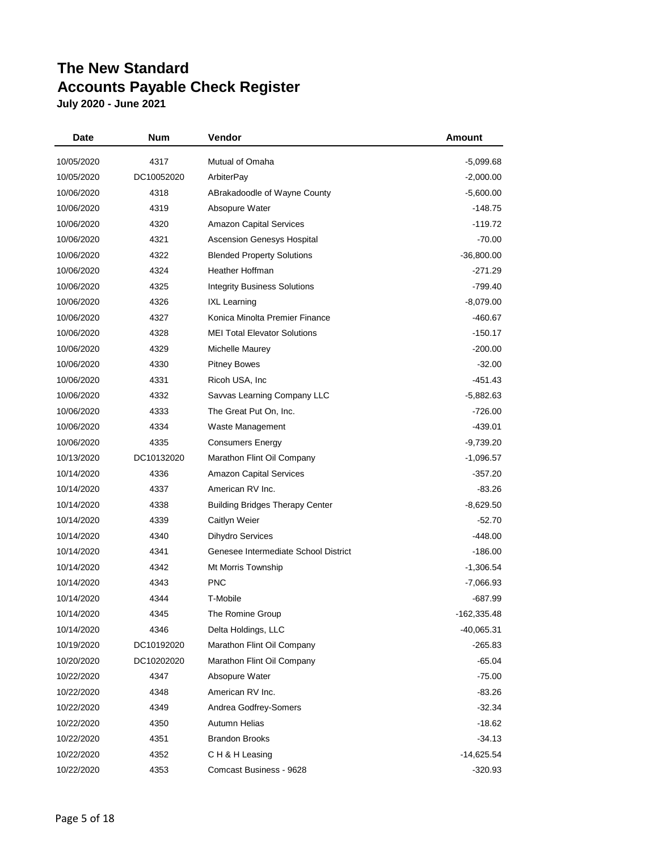| <b>Date</b> | Num        | Vendor                                 | Amount       |
|-------------|------------|----------------------------------------|--------------|
| 10/05/2020  | 4317       | Mutual of Omaha                        | -5,099.68    |
| 10/05/2020  | DC10052020 | ArbiterPay                             | $-2,000.00$  |
| 10/06/2020  | 4318       | ABrakadoodle of Wayne County           | $-5,600.00$  |
| 10/06/2020  | 4319       | Absopure Water                         | $-148.75$    |
| 10/06/2020  | 4320       | <b>Amazon Capital Services</b>         | $-119.72$    |
| 10/06/2020  | 4321       | <b>Ascension Genesys Hospital</b>      | $-70.00$     |
| 10/06/2020  | 4322       | <b>Blended Property Solutions</b>      | $-36,800.00$ |
| 10/06/2020  | 4324       | <b>Heather Hoffman</b>                 | $-271.29$    |
| 10/06/2020  | 4325       | <b>Integrity Business Solutions</b>    | $-799.40$    |
| 10/06/2020  | 4326       | <b>IXL Learning</b>                    | $-8,079.00$  |
| 10/06/2020  | 4327       | Konica Minolta Premier Finance         | -460.67      |
| 10/06/2020  | 4328       | <b>MEI Total Elevator Solutions</b>    | $-150.17$    |
| 10/06/2020  | 4329       | Michelle Maurey                        | $-200.00$    |
| 10/06/2020  | 4330       | <b>Pitney Bowes</b>                    | $-32.00$     |
| 10/06/2020  | 4331       | Ricoh USA, Inc.                        | -451.43      |
| 10/06/2020  | 4332       | Savvas Learning Company LLC            | $-5,882.63$  |
| 10/06/2020  | 4333       | The Great Put On, Inc.                 | $-726.00$    |
| 10/06/2020  | 4334       | Waste Management                       | -439.01      |
| 10/06/2020  | 4335       | <b>Consumers Energy</b>                | $-9,739.20$  |
| 10/13/2020  | DC10132020 | Marathon Flint Oil Company             | $-1,096.57$  |
| 10/14/2020  | 4336       | <b>Amazon Capital Services</b>         | $-357.20$    |
| 10/14/2020  | 4337       | American RV Inc.                       | $-83.26$     |
| 10/14/2020  | 4338       | <b>Building Bridges Therapy Center</b> | $-8,629.50$  |
| 10/14/2020  | 4339       | Caitlyn Weier                          | $-52.70$     |
| 10/14/2020  | 4340       | <b>Dihydro Services</b>                | $-448.00$    |
| 10/14/2020  | 4341       | Genesee Intermediate School District   | $-186.00$    |
| 10/14/2020  | 4342       | Mt Morris Township                     | $-1,306.54$  |
| 10/14/2020  | 4343       | <b>PNC</b>                             | -7,066.93    |
| 10/14/2020  | 4344       | T-Mobile                               | -687.99      |
| 10/14/2020  | 4345       | The Romine Group                       | -162,335.48  |
| 10/14/2020  | 4346       | Delta Holdings, LLC                    | -40,065.31   |
| 10/19/2020  | DC10192020 | Marathon Flint Oil Company             | -265.83      |
| 10/20/2020  | DC10202020 | Marathon Flint Oil Company             | -65.04       |
| 10/22/2020  | 4347       | Absopure Water                         | $-75.00$     |
| 10/22/2020  | 4348       | American RV Inc.                       | $-83.26$     |
| 10/22/2020  | 4349       | Andrea Godfrey-Somers                  | $-32.34$     |
| 10/22/2020  | 4350       | Autumn Helias                          | $-18.62$     |
| 10/22/2020  | 4351       | <b>Brandon Brooks</b>                  | $-34.13$     |
| 10/22/2020  | 4352       | CH & H Leasing                         | $-14,625.54$ |
| 10/22/2020  | 4353       | Comcast Business - 9628                | $-320.93$    |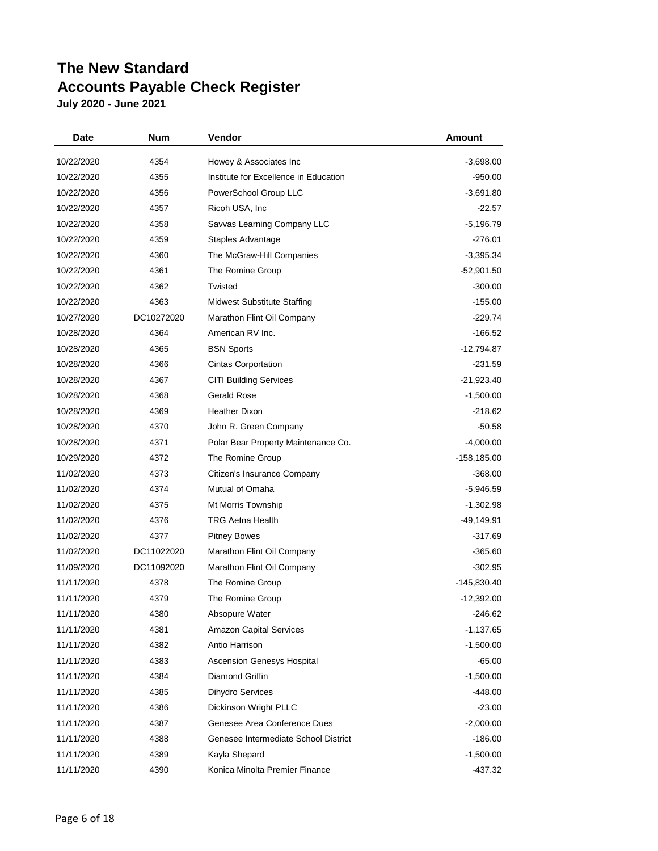| Date       | Num        | Vendor                                | Amount         |
|------------|------------|---------------------------------------|----------------|
| 10/22/2020 | 4354       | Howey & Associates Inc                | $-3,698.00$    |
| 10/22/2020 | 4355       | Institute for Excellence in Education | $-950.00$      |
| 10/22/2020 | 4356       | PowerSchool Group LLC                 | $-3,691.80$    |
| 10/22/2020 | 4357       | Ricoh USA, Inc.                       | $-22.57$       |
| 10/22/2020 | 4358       | Savvas Learning Company LLC           | $-5,196.79$    |
| 10/22/2020 | 4359       | Staples Advantage                     | $-276.01$      |
| 10/22/2020 | 4360       | The McGraw-Hill Companies             | $-3,395.34$    |
| 10/22/2020 | 4361       | The Romine Group                      | -52,901.50     |
| 10/22/2020 | 4362       | Twisted                               | $-300.00$      |
| 10/22/2020 | 4363       | <b>Midwest Substitute Staffing</b>    | $-155.00$      |
| 10/27/2020 | DC10272020 | Marathon Flint Oil Company            | $-229.74$      |
| 10/28/2020 | 4364       | American RV Inc.                      | $-166.52$      |
| 10/28/2020 | 4365       | <b>BSN Sports</b>                     | $-12,794.87$   |
| 10/28/2020 | 4366       | <b>Cintas Corportation</b>            | $-231.59$      |
| 10/28/2020 | 4367       | <b>CITI Building Services</b>         | -21,923.40     |
| 10/28/2020 | 4368       | <b>Gerald Rose</b>                    | $-1,500.00$    |
| 10/28/2020 | 4369       | <b>Heather Dixon</b>                  | $-218.62$      |
| 10/28/2020 | 4370       | John R. Green Company                 | $-50.58$       |
| 10/28/2020 | 4371       | Polar Bear Property Maintenance Co.   | $-4,000.00$    |
| 10/29/2020 | 4372       | The Romine Group                      | $-158, 185.00$ |
| 11/02/2020 | 4373       | Citizen's Insurance Company           | $-368.00$      |
| 11/02/2020 | 4374       | Mutual of Omaha                       | $-5,946.59$    |
| 11/02/2020 | 4375       | Mt Morris Township                    | $-1,302.98$    |
| 11/02/2020 | 4376       | <b>TRG Aetna Health</b>               | -49,149.91     |
| 11/02/2020 | 4377       | <b>Pitney Bowes</b>                   | $-317.69$      |
| 11/02/2020 | DC11022020 | Marathon Flint Oil Company            | $-365.60$      |
| 11/09/2020 | DC11092020 | Marathon Flint Oil Company            | -302.95        |
| 11/11/2020 | 4378       | The Romine Group                      | -145,830.40    |
| 11/11/2020 | 4379       | The Romine Group                      | $-12,392.00$   |
| 11/11/2020 | 4380       | Absopure Water                        | -246.62        |
| 11/11/2020 | 4381       | <b>Amazon Capital Services</b>        | $-1,137.65$    |
| 11/11/2020 | 4382       | Antio Harrison                        | $-1,500.00$    |
| 11/11/2020 | 4383       | <b>Ascension Genesys Hospital</b>     | $-65.00$       |
| 11/11/2020 | 4384       | Diamond Griffin                       | $-1,500.00$    |
| 11/11/2020 | 4385       | <b>Dihydro Services</b>               | -448.00        |
| 11/11/2020 | 4386       | Dickinson Wright PLLC                 | $-23.00$       |
| 11/11/2020 | 4387       | Genesee Area Conference Dues          | $-2,000.00$    |
| 11/11/2020 | 4388       | Genesee Intermediate School District  | $-186.00$      |
| 11/11/2020 | 4389       | Kayla Shepard                         | $-1,500.00$    |
| 11/11/2020 | 4390       | Konica Minolta Premier Finance        | -437.32        |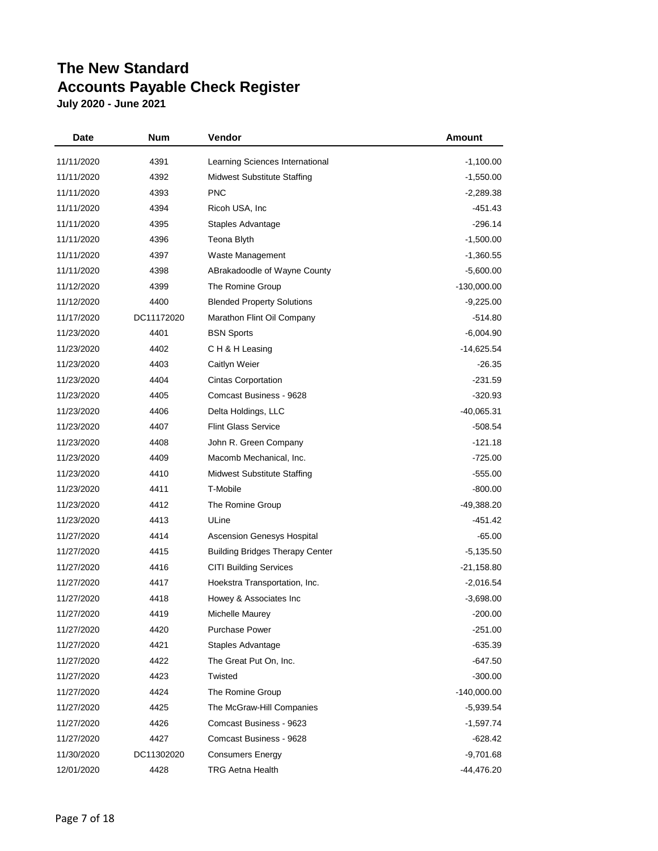| <b>Date</b> | Num        | Vendor                                 | <b>Amount</b> |
|-------------|------------|----------------------------------------|---------------|
| 11/11/2020  | 4391       | Learning Sciences International        | $-1,100.00$   |
| 11/11/2020  | 4392       | <b>Midwest Substitute Staffing</b>     | $-1,550.00$   |
| 11/11/2020  | 4393       | <b>PNC</b>                             | $-2,289.38$   |
| 11/11/2020  | 4394       | Ricoh USA, Inc.                        | $-451.43$     |
| 11/11/2020  | 4395       | Staples Advantage                      | $-296.14$     |
| 11/11/2020  | 4396       | Teona Blyth                            | $-1,500.00$   |
| 11/11/2020  | 4397       | Waste Management                       | $-1,360.55$   |
| 11/11/2020  | 4398       | ABrakadoodle of Wayne County           | $-5,600.00$   |
| 11/12/2020  | 4399       | The Romine Group                       | $-130,000.00$ |
| 11/12/2020  | 4400       | <b>Blended Property Solutions</b>      | $-9,225.00$   |
| 11/17/2020  | DC11172020 | Marathon Flint Oil Company             | $-514.80$     |
| 11/23/2020  | 4401       | <b>BSN Sports</b>                      | $-6,004.90$   |
| 11/23/2020  | 4402       | CH & H Leasing                         | $-14,625.54$  |
| 11/23/2020  | 4403       | Caitlyn Weier                          | $-26.35$      |
| 11/23/2020  | 4404       | <b>Cintas Corportation</b>             | $-231.59$     |
| 11/23/2020  | 4405       | Comcast Business - 9628                | $-320.93$     |
| 11/23/2020  | 4406       | Delta Holdings, LLC                    | $-40,065.31$  |
| 11/23/2020  | 4407       | <b>Flint Glass Service</b>             | -508.54       |
| 11/23/2020  | 4408       | John R. Green Company                  | $-121.18$     |
| 11/23/2020  | 4409       | Macomb Mechanical, Inc.                | $-725.00$     |
| 11/23/2020  | 4410       | <b>Midwest Substitute Staffing</b>     | $-555.00$     |
| 11/23/2020  | 4411       | T-Mobile                               | $-800.00$     |
| 11/23/2020  | 4412       | The Romine Group                       | -49,388.20    |
| 11/23/2020  | 4413       | ULine                                  | -451.42       |
| 11/27/2020  | 4414       | Ascension Genesys Hospital             | $-65.00$      |
| 11/27/2020  | 4415       | <b>Building Bridges Therapy Center</b> | $-5,135.50$   |
| 11/27/2020  | 4416       | <b>CITI Building Services</b>          | $-21,158.80$  |
| 11/27/2020  | 4417       | Hoekstra Transportation, Inc.          | $-2,016.54$   |
| 11/27/2020  | 4418       | Howey & Associates Inc                 | $-3,698.00$   |
| 11/27/2020  | 4419       | Michelle Maurey                        | $-200.00$     |
| 11/27/2020  | 4420       | <b>Purchase Power</b>                  | $-251.00$     |
| 11/27/2020  | 4421       | Staples Advantage                      | $-635.39$     |
| 11/27/2020  | 4422       | The Great Put On, Inc.                 | -647.50       |
| 11/27/2020  | 4423       | Twisted                                | $-300.00$     |
| 11/27/2020  | 4424       | The Romine Group                       | $-140,000.00$ |
| 11/27/2020  | 4425       | The McGraw-Hill Companies              | $-5,939.54$   |
| 11/27/2020  | 4426       | Comcast Business - 9623                | $-1,597.74$   |
| 11/27/2020  | 4427       | Comcast Business - 9628                | -628.42       |
| 11/30/2020  | DC11302020 | <b>Consumers Energy</b>                | $-9,701.68$   |
| 12/01/2020  | 4428       | <b>TRG Aetna Health</b>                | -44,476.20    |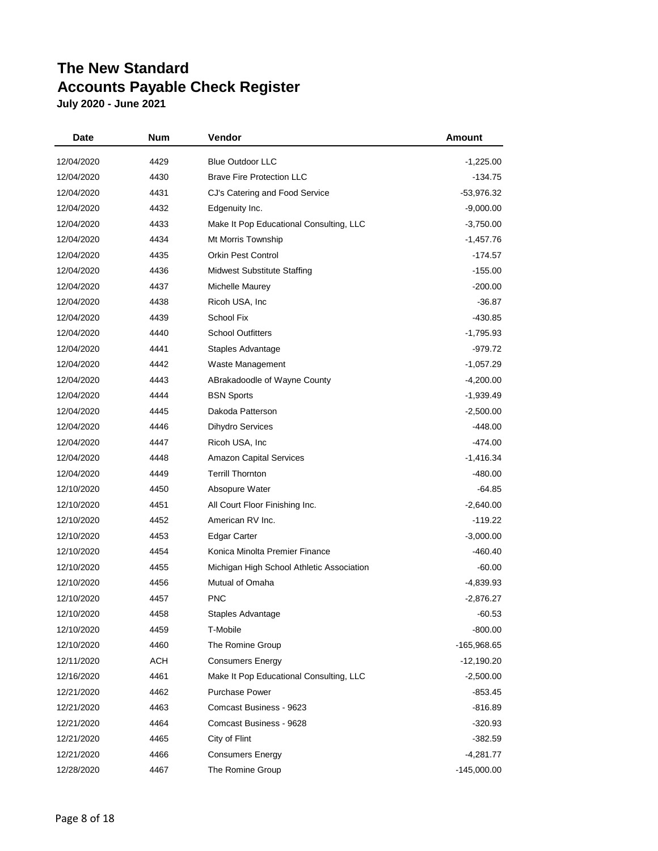| Date       | Num        | Vendor                                    | Amount        |
|------------|------------|-------------------------------------------|---------------|
| 12/04/2020 | 4429       | <b>Blue Outdoor LLC</b>                   | $-1,225.00$   |
| 12/04/2020 | 4430       | <b>Brave Fire Protection LLC</b>          | -134.75       |
| 12/04/2020 | 4431       | CJ's Catering and Food Service            | $-53,976.32$  |
| 12/04/2020 | 4432       | Edgenuity Inc.                            | $-9,000.00$   |
| 12/04/2020 | 4433       | Make It Pop Educational Consulting, LLC   | $-3,750.00$   |
| 12/04/2020 | 4434       | Mt Morris Township                        | -1,457.76     |
| 12/04/2020 | 4435       | <b>Orkin Pest Control</b>                 | -174.57       |
| 12/04/2020 | 4436       | <b>Midwest Substitute Staffing</b>        | $-155.00$     |
| 12/04/2020 | 4437       | Michelle Maurey                           | $-200.00$     |
| 12/04/2020 | 4438       | Ricoh USA, Inc.                           | $-36.87$      |
| 12/04/2020 | 4439       | School Fix                                | -430.85       |
| 12/04/2020 | 4440       | <b>School Outfitters</b>                  | $-1,795.93$   |
| 12/04/2020 | 4441       | Staples Advantage                         | -979.72       |
| 12/04/2020 | 4442       | Waste Management                          | $-1,057.29$   |
| 12/04/2020 | 4443       | ABrakadoodle of Wayne County              | $-4,200.00$   |
| 12/04/2020 | 4444       | <b>BSN Sports</b>                         | $-1,939.49$   |
| 12/04/2020 | 4445       | Dakoda Patterson                          | $-2,500.00$   |
| 12/04/2020 | 4446       | <b>Dihydro Services</b>                   | -448.00       |
| 12/04/2020 | 4447       | Ricoh USA, Inc.                           | -474.00       |
| 12/04/2020 | 4448       | <b>Amazon Capital Services</b>            | $-1,416.34$   |
| 12/04/2020 | 4449       | <b>Terrill Thornton</b>                   | $-480.00$     |
| 12/10/2020 | 4450       | Absopure Water                            | $-64.85$      |
| 12/10/2020 | 4451       | All Court Floor Finishing Inc.            | $-2,640.00$   |
| 12/10/2020 | 4452       | American RV Inc.                          | $-119.22$     |
| 12/10/2020 | 4453       | Edgar Carter                              | $-3,000.00$   |
| 12/10/2020 | 4454       | Konica Minolta Premier Finance            | $-460.40$     |
| 12/10/2020 | 4455       | Michigan High School Athletic Association | $-60.00$      |
| 12/10/2020 | 4456       | Mutual of Omaha                           | $-4,839.93$   |
| 12/10/2020 | 4457       | <b>PNC</b>                                | $-2,876.27$   |
| 12/10/2020 | 4458       | Staples Advantage                         | $-60.53$      |
| 12/10/2020 | 4459       | T-Mobile                                  | $-800.00$     |
| 12/10/2020 | 4460       | The Romine Group                          | -165,968.65   |
| 12/11/2020 | <b>ACH</b> | <b>Consumers Energy</b>                   | $-12,190.20$  |
| 12/16/2020 | 4461       | Make It Pop Educational Consulting, LLC   | $-2,500.00$   |
| 12/21/2020 | 4462       | <b>Purchase Power</b>                     | $-853.45$     |
| 12/21/2020 | 4463       | Comcast Business - 9623                   | -816.89       |
| 12/21/2020 | 4464       | Comcast Business - 9628                   | $-320.93$     |
| 12/21/2020 | 4465       | City of Flint                             | $-382.59$     |
| 12/21/2020 | 4466       | <b>Consumers Energy</b>                   | $-4,281.77$   |
| 12/28/2020 | 4467       | The Romine Group                          | $-145,000.00$ |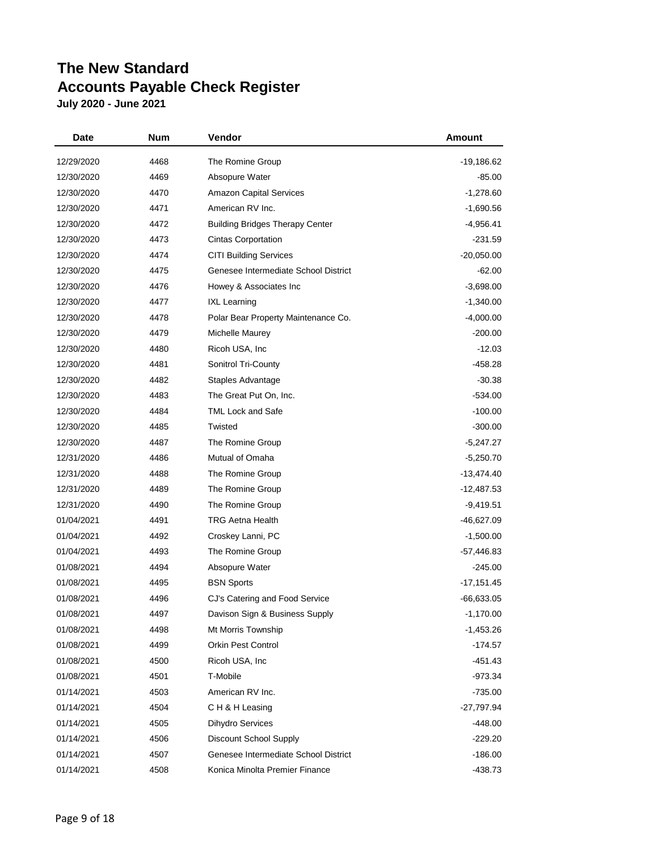| Date       | <b>Num</b> | Vendor                                 | <b>Amount</b> |
|------------|------------|----------------------------------------|---------------|
| 12/29/2020 | 4468       | The Romine Group                       | -19,186.62    |
| 12/30/2020 | 4469       | Absopure Water                         | $-85.00$      |
| 12/30/2020 | 4470       | <b>Amazon Capital Services</b>         | $-1,278.60$   |
| 12/30/2020 | 4471       | American RV Inc.                       | $-1,690.56$   |
| 12/30/2020 | 4472       | <b>Building Bridges Therapy Center</b> | -4,956.41     |
| 12/30/2020 | 4473       | <b>Cintas Corportation</b>             | $-231.59$     |
| 12/30/2020 | 4474       | <b>CITI Building Services</b>          | $-20,050.00$  |
| 12/30/2020 | 4475       | Genesee Intermediate School District   | $-62.00$      |
| 12/30/2020 | 4476       | Howey & Associates Inc                 | $-3,698.00$   |
| 12/30/2020 | 4477       | <b>IXL Learning</b>                    | $-1,340.00$   |
| 12/30/2020 | 4478       | Polar Bear Property Maintenance Co.    | $-4,000.00$   |
| 12/30/2020 | 4479       | Michelle Maurey                        | $-200.00$     |
| 12/30/2020 | 4480       | Ricoh USA, Inc                         | $-12.03$      |
| 12/30/2020 | 4481       | Sonitrol Tri-County                    | -458.28       |
| 12/30/2020 | 4482       | Staples Advantage                      | $-30.38$      |
| 12/30/2020 | 4483       | The Great Put On, Inc.                 | $-534.00$     |
| 12/30/2020 | 4484       | <b>TML Lock and Safe</b>               | $-100.00$     |
| 12/30/2020 | 4485       | Twisted                                | $-300.00$     |
| 12/30/2020 | 4487       | The Romine Group                       | -5,247.27     |
| 12/31/2020 | 4486       | Mutual of Omaha                        | $-5,250.70$   |
| 12/31/2020 | 4488       | The Romine Group                       | $-13,474.40$  |
| 12/31/2020 | 4489       | The Romine Group                       | $-12,487.53$  |
| 12/31/2020 | 4490       | The Romine Group                       | $-9,419.51$   |
| 01/04/2021 | 4491       | <b>TRG Aetna Health</b>                | $-46,627.09$  |
| 01/04/2021 | 4492       | Croskey Lanni, PC                      | $-1,500.00$   |
| 01/04/2021 | 4493       | The Romine Group                       | -57,446.83    |
| 01/08/2021 | 4494       | Absopure Water                         | $-245.00$     |
| 01/08/2021 | 4495       | <b>BSN Sports</b>                      | -17,151.45    |
| 01/08/2021 | 4496       | CJ's Catering and Food Service         | $-66,633.05$  |
| 01/08/2021 | 4497       | Davison Sign & Business Supply         | $-1,170.00$   |
| 01/08/2021 | 4498       | Mt Morris Township                     | -1,453.26     |
| 01/08/2021 | 4499       | <b>Orkin Pest Control</b>              | -174.57       |
| 01/08/2021 | 4500       | Ricoh USA, Inc.                        | $-451.43$     |
| 01/08/2021 | 4501       | T-Mobile                               | $-973.34$     |
| 01/14/2021 | 4503       | American RV Inc.                       | $-735.00$     |
| 01/14/2021 | 4504       | CH & H Leasing                         | $-27,797.94$  |
| 01/14/2021 | 4505       | Dihydro Services                       | -448.00       |
| 01/14/2021 | 4506       | Discount School Supply                 | $-229.20$     |
| 01/14/2021 | 4507       | Genesee Intermediate School District   | $-186.00$     |
| 01/14/2021 | 4508       | Konica Minolta Premier Finance         | -438.73       |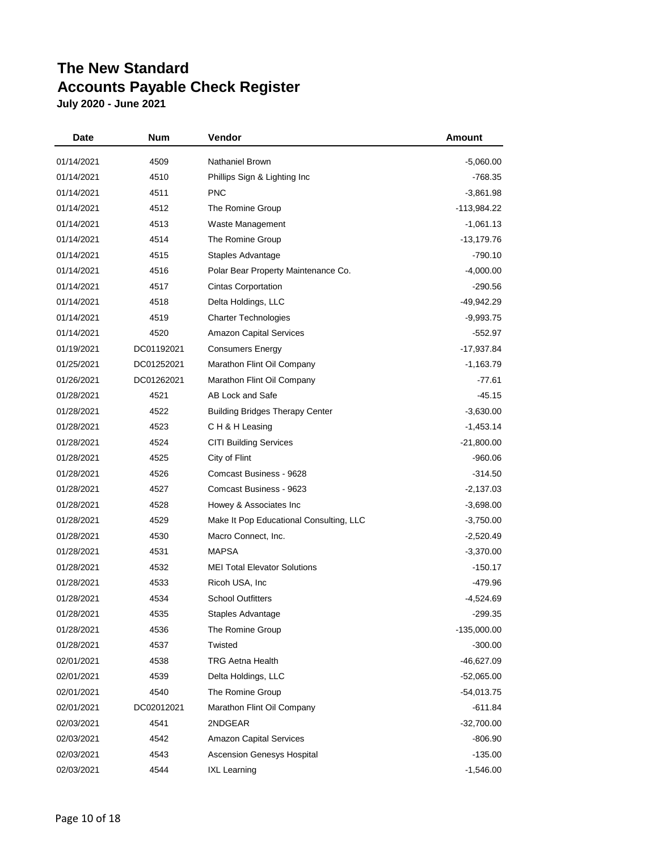| Date       | Num        | Vendor                                  | Amount       |
|------------|------------|-----------------------------------------|--------------|
| 01/14/2021 | 4509       | Nathaniel Brown                         | $-5,060.00$  |
| 01/14/2021 | 4510       | Phillips Sign & Lighting Inc            | -768.35      |
| 01/14/2021 | 4511       | <b>PNC</b>                              | $-3,861.98$  |
| 01/14/2021 | 4512       | The Romine Group                        | -113,984.22  |
| 01/14/2021 | 4513       | Waste Management                        | $-1,061.13$  |
| 01/14/2021 | 4514       | The Romine Group                        | -13,179.76   |
| 01/14/2021 | 4515       | <b>Staples Advantage</b>                | $-790.10$    |
| 01/14/2021 | 4516       | Polar Bear Property Maintenance Co.     | $-4,000.00$  |
| 01/14/2021 | 4517       | <b>Cintas Corportation</b>              | $-290.56$    |
| 01/14/2021 | 4518       | Delta Holdings, LLC                     | -49,942.29   |
| 01/14/2021 | 4519       | <b>Charter Technologies</b>             | $-9,993.75$  |
| 01/14/2021 | 4520       | <b>Amazon Capital Services</b>          | $-552.97$    |
| 01/19/2021 | DC01192021 | Consumers Energy                        | $-17,937.84$ |
| 01/25/2021 | DC01252021 | Marathon Flint Oil Company              | $-1,163.79$  |
| 01/26/2021 | DC01262021 | Marathon Flint Oil Company              | $-77.61$     |
| 01/28/2021 | 4521       | AB Lock and Safe                        | $-45.15$     |
| 01/28/2021 | 4522       | <b>Building Bridges Therapy Center</b>  | $-3,630.00$  |
| 01/28/2021 | 4523       | CH & H Leasing                          | $-1,453.14$  |
| 01/28/2021 | 4524       | <b>CITI Building Services</b>           | $-21,800.00$ |
| 01/28/2021 | 4525       | City of Flint                           | $-960.06$    |
| 01/28/2021 | 4526       | Comcast Business - 9628                 | $-314.50$    |
| 01/28/2021 | 4527       | Comcast Business - 9623                 | $-2,137.03$  |
| 01/28/2021 | 4528       | Howey & Associates Inc                  | $-3,698.00$  |
| 01/28/2021 | 4529       | Make It Pop Educational Consulting, LLC | $-3,750.00$  |
| 01/28/2021 | 4530       | Macro Connect, Inc.                     | -2,520.49    |
| 01/28/2021 | 4531       | <b>MAPSA</b>                            | $-3,370.00$  |
| 01/28/2021 | 4532       | <b>MEI Total Elevator Solutions</b>     | $-150.17$    |
| 01/28/2021 | 4533       | Ricoh USA, Inc.                         | -479.96      |
| 01/28/2021 | 4534       | <b>School Outfitters</b>                | -4,524.69    |
| 01/28/2021 | 4535       | Staples Advantage                       | $-299.35$    |
| 01/28/2021 | 4536       | The Romine Group                        | -135,000.00  |
| 01/28/2021 | 4537       | Twisted                                 | $-300.00$    |
| 02/01/2021 | 4538       | TRG Aetna Health                        | $-46,627.09$ |
| 02/01/2021 | 4539       | Delta Holdings, LLC                     | -52,065.00   |
| 02/01/2021 | 4540       | The Romine Group                        | $-54,013.75$ |
| 02/01/2021 | DC02012021 | Marathon Flint Oil Company              | -611.84      |
| 02/03/2021 | 4541       | 2NDGEAR                                 | $-32,700.00$ |
| 02/03/2021 | 4542       | <b>Amazon Capital Services</b>          | $-806.90$    |
| 02/03/2021 | 4543       | Ascension Genesys Hospital              | $-135.00$    |
| 02/03/2021 | 4544       | <b>IXL Learning</b>                     | $-1,546.00$  |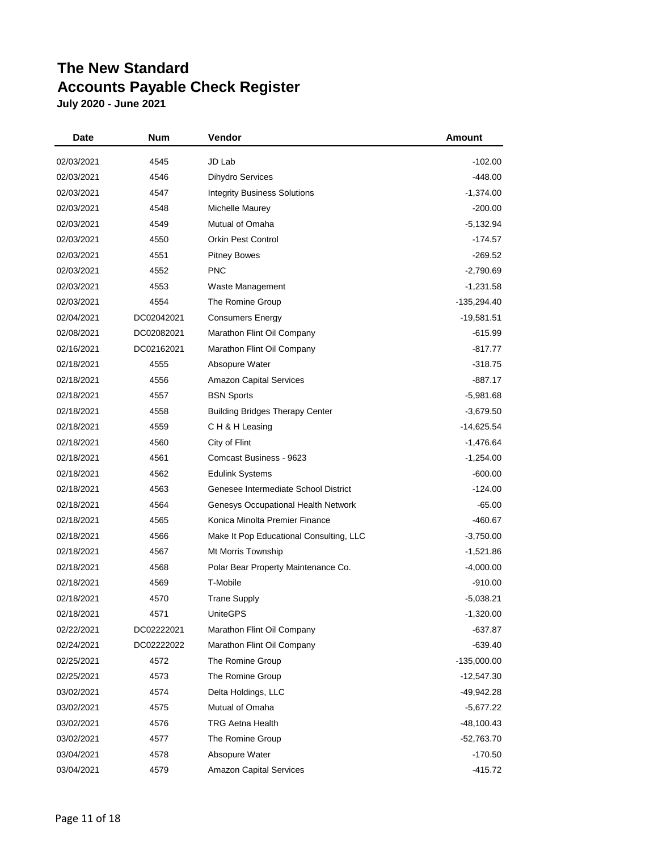| <b>Date</b> | Num        | Vendor                                  | Amount        |
|-------------|------------|-----------------------------------------|---------------|
| 02/03/2021  | 4545       | JD Lab                                  | $-102.00$     |
| 02/03/2021  | 4546       | Dihydro Services                        | $-448.00$     |
| 02/03/2021  | 4547       | <b>Integrity Business Solutions</b>     | $-1,374.00$   |
| 02/03/2021  | 4548       | Michelle Maurey                         | $-200.00$     |
| 02/03/2021  | 4549       | Mutual of Omaha                         | $-5,132.94$   |
| 02/03/2021  | 4550       | <b>Orkin Pest Control</b>               | -174.57       |
| 02/03/2021  | 4551       | <b>Pitney Bowes</b>                     | $-269.52$     |
| 02/03/2021  | 4552       | <b>PNC</b>                              | $-2,790.69$   |
| 02/03/2021  | 4553       | Waste Management                        | $-1,231.58$   |
| 02/03/2021  | 4554       | The Romine Group                        | -135,294.40   |
| 02/04/2021  | DC02042021 | <b>Consumers Energy</b>                 | -19,581.51    |
| 02/08/2021  | DC02082021 | Marathon Flint Oil Company              | $-615.99$     |
| 02/16/2021  | DC02162021 | Marathon Flint Oil Company              | -817.77       |
| 02/18/2021  | 4555       | Absopure Water                          | $-318.75$     |
| 02/18/2021  | 4556       | <b>Amazon Capital Services</b>          | $-887.17$     |
| 02/18/2021  | 4557       | <b>BSN Sports</b>                       | $-5,981.68$   |
| 02/18/2021  | 4558       | <b>Building Bridges Therapy Center</b>  | $-3,679.50$   |
| 02/18/2021  | 4559       | CH & H Leasing                          | $-14,625.54$  |
| 02/18/2021  | 4560       | City of Flint                           | $-1,476.64$   |
| 02/18/2021  | 4561       | Comcast Business - 9623                 | $-1,254.00$   |
| 02/18/2021  | 4562       | <b>Edulink Systems</b>                  | $-600.00$     |
| 02/18/2021  | 4563       | Genesee Intermediate School District    | $-124.00$     |
| 02/18/2021  | 4564       | Genesys Occupational Health Network     | $-65.00$      |
| 02/18/2021  | 4565       | Konica Minolta Premier Finance          | -460.67       |
| 02/18/2021  | 4566       | Make It Pop Educational Consulting, LLC | $-3,750.00$   |
| 02/18/2021  | 4567       | Mt Morris Township                      | $-1,521.86$   |
| 02/18/2021  | 4568       | Polar Bear Property Maintenance Co.     | $-4,000.00$   |
| 02/18/2021  | 4569       | T-Mobile                                | $-910.00$     |
| 02/18/2021  | 4570       | <b>Trane Supply</b>                     | $-5,038.21$   |
| 02/18/2021  | 4571       | <b>UniteGPS</b>                         | $-1,320.00$   |
| 02/22/2021  | DC02222021 | Marathon Flint Oil Company              | $-637.87$     |
| 02/24/2021  | DC02222022 | Marathon Flint Oil Company              | $-639.40$     |
| 02/25/2021  | 4572       | The Romine Group                        | $-135,000.00$ |
| 02/25/2021  | 4573       | The Romine Group                        | -12,547.30    |
| 03/02/2021  | 4574       | Delta Holdings, LLC                     | $-49,942.28$  |
| 03/02/2021  | 4575       | Mutual of Omaha                         | $-5,677.22$   |
| 03/02/2021  | 4576       | <b>TRG Aetna Health</b>                 | $-48,100.43$  |
| 03/02/2021  | 4577       | The Romine Group                        | -52,763.70    |
| 03/04/2021  | 4578       | Absopure Water                          | $-170.50$     |
| 03/04/2021  | 4579       | <b>Amazon Capital Services</b>          | -415.72       |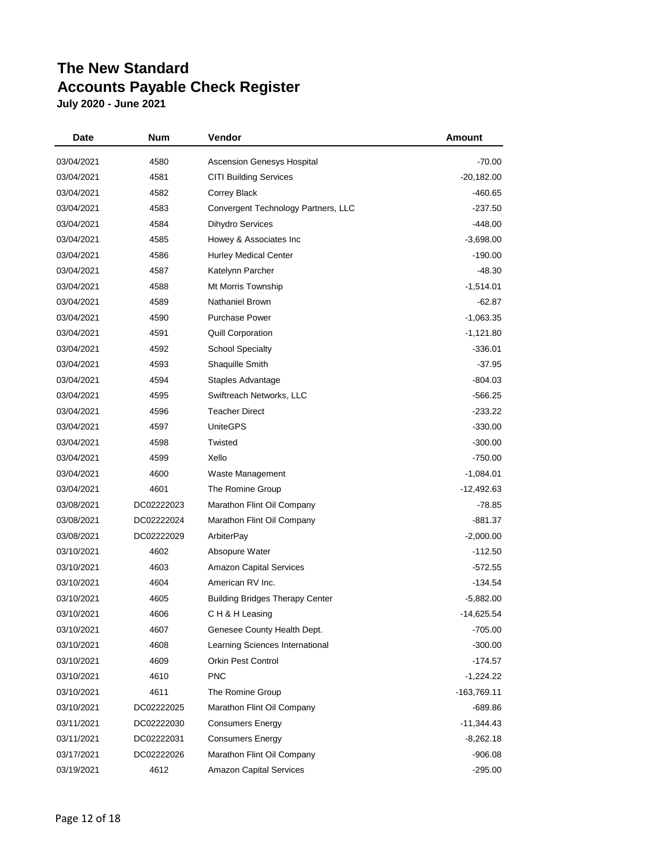| Date       | <b>Num</b> | Vendor                                 | <b>Amount</b> |
|------------|------------|----------------------------------------|---------------|
| 03/04/2021 | 4580       | Ascension Genesys Hospital             | $-70.00$      |
| 03/04/2021 | 4581       | <b>CITI Building Services</b>          | $-20,182.00$  |
| 03/04/2021 | 4582       | Correy Black                           | -460.65       |
| 03/04/2021 | 4583       | Convergent Technology Partners, LLC    | $-237.50$     |
| 03/04/2021 | 4584       | <b>Dihydro Services</b>                | $-448.00$     |
| 03/04/2021 | 4585       | Howey & Associates Inc                 | $-3,698.00$   |
| 03/04/2021 | 4586       | <b>Hurley Medical Center</b>           | $-190.00$     |
| 03/04/2021 | 4587       | Katelynn Parcher                       | $-48.30$      |
| 03/04/2021 | 4588       | Mt Morris Township                     | $-1,514.01$   |
| 03/04/2021 | 4589       | Nathaniel Brown                        | $-62.87$      |
| 03/04/2021 | 4590       | <b>Purchase Power</b>                  | $-1,063.35$   |
| 03/04/2021 | 4591       | <b>Quill Corporation</b>               | $-1,121.80$   |
| 03/04/2021 | 4592       | <b>School Specialty</b>                | $-336.01$     |
| 03/04/2021 | 4593       | Shaquille Smith                        | $-37.95$      |
| 03/04/2021 | 4594       | Staples Advantage                      | $-804.03$     |
| 03/04/2021 | 4595       | Swiftreach Networks, LLC               | $-566.25$     |
| 03/04/2021 | 4596       | <b>Teacher Direct</b>                  | $-233.22$     |
| 03/04/2021 | 4597       | <b>UniteGPS</b>                        | $-330.00$     |
| 03/04/2021 | 4598       | Twisted                                | $-300.00$     |
| 03/04/2021 | 4599       | Xello                                  | $-750.00$     |
| 03/04/2021 | 4600       | Waste Management                       | $-1,084.01$   |
| 03/04/2021 | 4601       | The Romine Group                       | $-12,492.63$  |
| 03/08/2021 | DC02222023 | Marathon Flint Oil Company             | $-78.85$      |
| 03/08/2021 | DC02222024 | Marathon Flint Oil Company             | -881.37       |
| 03/08/2021 | DC02222029 | ArbiterPay                             | $-2,000.00$   |
| 03/10/2021 | 4602       | Absopure Water                         | $-112.50$     |
| 03/10/2021 | 4603       | <b>Amazon Capital Services</b>         | $-572.55$     |
| 03/10/2021 | 4604       | American RV Inc.                       | $-134.54$     |
| 03/10/2021 | 4605       | <b>Building Bridges Therapy Center</b> | $-5,882.00$   |
| 03/10/2021 | 4606       | CH&H Leasing                           | $-14,625.54$  |
| 03/10/2021 | 4607       | Genesee County Health Dept.            | $-705.00$     |
| 03/10/2021 | 4608       | Learning Sciences International        | $-300.00$     |
| 03/10/2021 | 4609       | <b>Orkin Pest Control</b>              | $-174.57$     |
| 03/10/2021 | 4610       | <b>PNC</b>                             | $-1,224.22$   |
| 03/10/2021 | 4611       | The Romine Group                       | -163,769.11   |
| 03/10/2021 | DC02222025 | Marathon Flint Oil Company             | -689.86       |
| 03/11/2021 | DC02222030 | <b>Consumers Energy</b>                | $-11,344.43$  |
| 03/11/2021 | DC02222031 | <b>Consumers Energy</b>                | -8,262.18     |
| 03/17/2021 | DC02222026 | Marathon Flint Oil Company             | $-906.08$     |
| 03/19/2021 | 4612       | <b>Amazon Capital Services</b>         | $-295.00$     |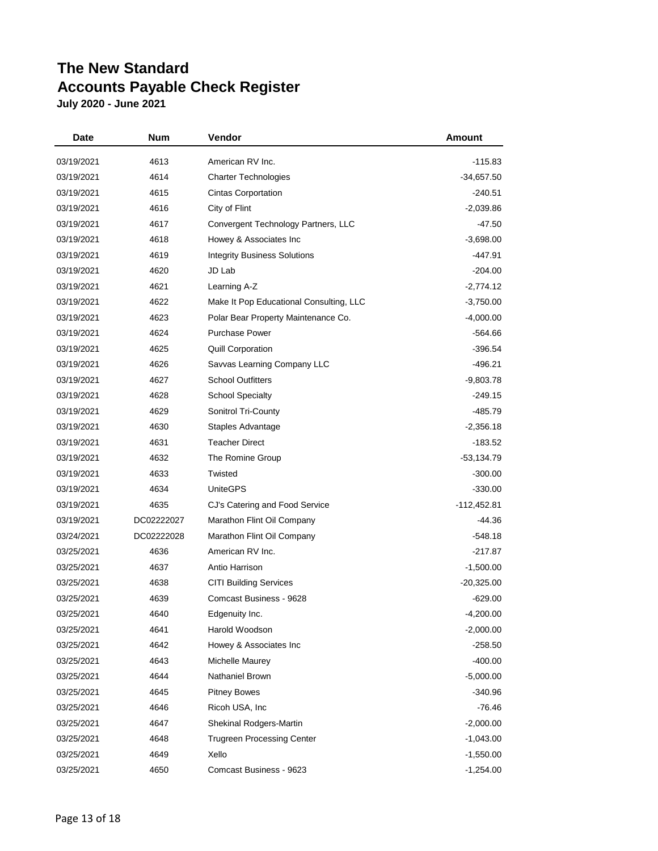| Date       | Num        | Vendor                                  | Amount       |
|------------|------------|-----------------------------------------|--------------|
| 03/19/2021 | 4613       | American RV Inc.                        | -115.83      |
| 03/19/2021 | 4614       | <b>Charter Technologies</b>             | -34,657.50   |
| 03/19/2021 | 4615       | <b>Cintas Corportation</b>              | $-240.51$    |
| 03/19/2021 | 4616       | City of Flint                           | $-2,039.86$  |
| 03/19/2021 | 4617       | Convergent Technology Partners, LLC     | $-47.50$     |
| 03/19/2021 | 4618       | Howey & Associates Inc                  | $-3,698.00$  |
| 03/19/2021 | 4619       | <b>Integrity Business Solutions</b>     | -447.91      |
| 03/19/2021 | 4620       | JD Lab                                  | -204.00      |
| 03/19/2021 | 4621       | Learning A-Z                            | $-2,774.12$  |
| 03/19/2021 | 4622       | Make It Pop Educational Consulting, LLC | $-3,750.00$  |
| 03/19/2021 | 4623       | Polar Bear Property Maintenance Co.     | $-4,000.00$  |
| 03/19/2021 | 4624       | <b>Purchase Power</b>                   | $-564.66$    |
| 03/19/2021 | 4625       | <b>Quill Corporation</b>                | $-396.54$    |
| 03/19/2021 | 4626       | Savvas Learning Company LLC             | $-496.21$    |
| 03/19/2021 | 4627       | <b>School Outfitters</b>                | $-9,803.78$  |
| 03/19/2021 | 4628       | <b>School Specialty</b>                 | $-249.15$    |
| 03/19/2021 | 4629       | Sonitrol Tri-County                     | -485.79      |
| 03/19/2021 | 4630       | Staples Advantage                       | $-2,356.18$  |
| 03/19/2021 | 4631       | <b>Teacher Direct</b>                   | -183.52      |
| 03/19/2021 | 4632       | The Romine Group                        | -53,134.79   |
| 03/19/2021 | 4633       | Twisted                                 | $-300.00$    |
| 03/19/2021 | 4634       | <b>UniteGPS</b>                         | $-330.00$    |
| 03/19/2021 | 4635       | CJ's Catering and Food Service          | -112,452.81  |
| 03/19/2021 | DC02222027 | Marathon Flint Oil Company              | -44.36       |
| 03/24/2021 | DC02222028 | Marathon Flint Oil Company              | $-548.18$    |
| 03/25/2021 | 4636       | American RV Inc.                        | $-217.87$    |
| 03/25/2021 | 4637       | Antio Harrison                          | $-1,500.00$  |
| 03/25/2021 | 4638       | <b>CITI Building Services</b>           | $-20,325.00$ |
| 03/25/2021 | 4639       | Comcast Business - 9628                 | $-629.00$    |
| 03/25/2021 | 4640       | Edgenuity Inc.                          | $-4,200.00$  |
| 03/25/2021 | 4641       | Harold Woodson                          | $-2,000.00$  |
| 03/25/2021 | 4642       | Howey & Associates Inc                  | $-258.50$    |
| 03/25/2021 | 4643       | Michelle Maurey                         | $-400.00$    |
| 03/25/2021 | 4644       | <b>Nathaniel Brown</b>                  | $-5,000.00$  |
| 03/25/2021 | 4645       | <b>Pitney Bowes</b>                     | -340.96      |
| 03/25/2021 | 4646       | Ricoh USA, Inc                          | $-76.46$     |
| 03/25/2021 | 4647       | Shekinal Rodgers-Martin                 | $-2,000.00$  |
| 03/25/2021 | 4648       | <b>Trugreen Processing Center</b>       | $-1,043.00$  |
| 03/25/2021 | 4649       | Xello                                   | $-1,550.00$  |
| 03/25/2021 | 4650       | Comcast Business - 9623                 | $-1,254.00$  |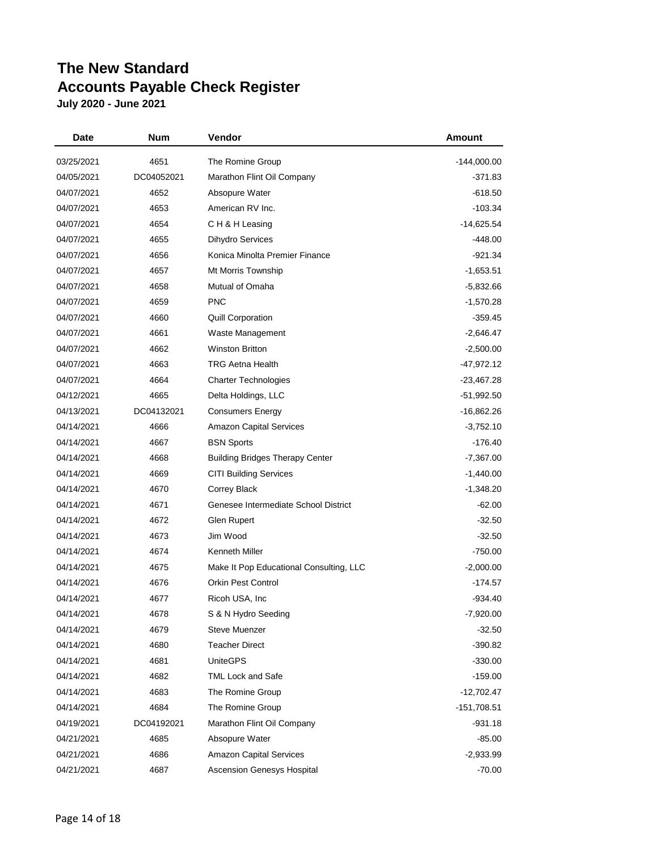| Date       | Num        | Vendor                                  | Amount        |
|------------|------------|-----------------------------------------|---------------|
| 03/25/2021 | 4651       | The Romine Group                        | -144,000.00   |
| 04/05/2021 | DC04052021 | Marathon Flint Oil Company              | $-371.83$     |
| 04/07/2021 | 4652       | Absopure Water                          | $-618.50$     |
| 04/07/2021 | 4653       | American RV Inc.                        | -103.34       |
| 04/07/2021 | 4654       | CH & H Leasing                          | -14,625.54    |
| 04/07/2021 | 4655       | Dihydro Services                        | -448.00       |
| 04/07/2021 | 4656       | Konica Minolta Premier Finance          | $-921.34$     |
| 04/07/2021 | 4657       | Mt Morris Township                      | $-1,653.51$   |
| 04/07/2021 | 4658       | Mutual of Omaha                         | $-5,832.66$   |
| 04/07/2021 | 4659       | <b>PNC</b>                              | $-1,570.28$   |
| 04/07/2021 | 4660       | <b>Quill Corporation</b>                | $-359.45$     |
| 04/07/2021 | 4661       | Waste Management                        | $-2,646.47$   |
| 04/07/2021 | 4662       | <b>Winston Britton</b>                  | $-2,500.00$   |
| 04/07/2021 | 4663       | <b>TRG Aetna Health</b>                 | $-47,972.12$  |
| 04/07/2021 | 4664       | <b>Charter Technologies</b>             | $-23,467.28$  |
| 04/12/2021 | 4665       | Delta Holdings, LLC                     | $-51,992.50$  |
| 04/13/2021 | DC04132021 | <b>Consumers Energy</b>                 | $-16,862.26$  |
| 04/14/2021 | 4666       | <b>Amazon Capital Services</b>          | $-3,752.10$   |
| 04/14/2021 | 4667       | <b>BSN Sports</b>                       | -176.40       |
| 04/14/2021 | 4668       | <b>Building Bridges Therapy Center</b>  | $-7,367.00$   |
| 04/14/2021 | 4669       | <b>CITI Building Services</b>           | $-1,440.00$   |
| 04/14/2021 | 4670       | Correy Black                            | $-1,348.20$   |
| 04/14/2021 | 4671       | Genesee Intermediate School District    | $-62.00$      |
| 04/14/2021 | 4672       | Glen Rupert                             | $-32.50$      |
| 04/14/2021 | 4673       | Jim Wood                                | $-32.50$      |
| 04/14/2021 | 4674       | <b>Kenneth Miller</b>                   | $-750.00$     |
| 04/14/2021 | 4675       | Make It Pop Educational Consulting, LLC | $-2,000.00$   |
| 04/14/2021 | 4676       | <b>Orkin Pest Control</b>               | -174.57       |
| 04/14/2021 | 4677       | Ricoh USA, Inc.                         | $-934.40$     |
| 04/14/2021 | 4678       | S & N Hydro Seeding                     | $-7,920.00$   |
| 04/14/2021 | 4679       | <b>Steve Muenzer</b>                    | $-32.50$      |
| 04/14/2021 | 4680       | <b>Teacher Direct</b>                   | $-390.82$     |
| 04/14/2021 | 4681       | <b>UniteGPS</b>                         | $-330.00$     |
| 04/14/2021 | 4682       | <b>TML Lock and Safe</b>                | -159.00       |
| 04/14/2021 | 4683       | The Romine Group                        | $-12,702.47$  |
| 04/14/2021 | 4684       | The Romine Group                        | $-151,708.51$ |
| 04/19/2021 | DC04192021 | Marathon Flint Oil Company              | $-931.18$     |
| 04/21/2021 | 4685       | Absopure Water                          | $-85.00$      |
| 04/21/2021 | 4686       | <b>Amazon Capital Services</b>          | $-2,933.99$   |
| 04/21/2021 | 4687       | Ascension Genesys Hospital              | $-70.00$      |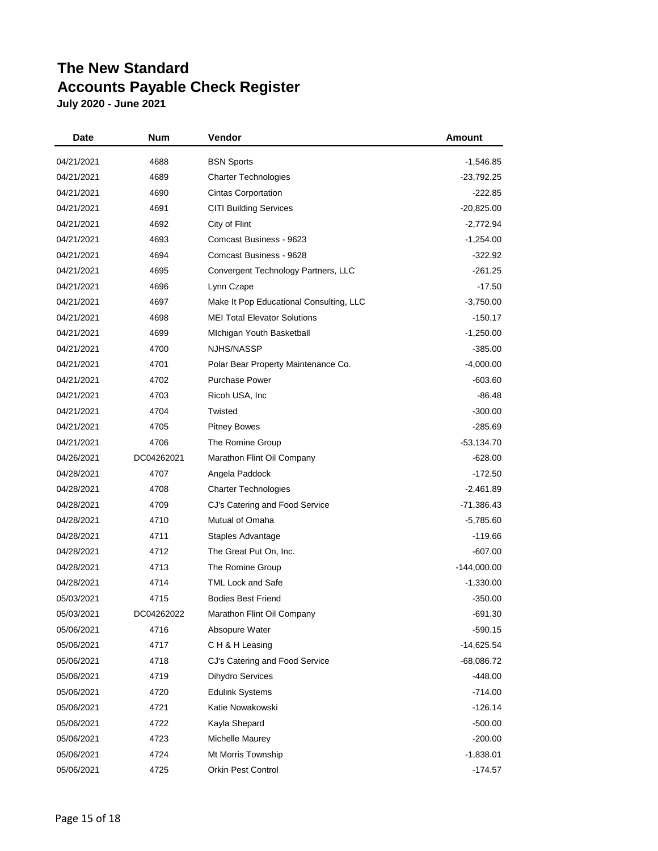| <b>Date</b> | Num        | Vendor                                  | Amount        |
|-------------|------------|-----------------------------------------|---------------|
| 04/21/2021  | 4688       | <b>BSN Sports</b>                       | -1,546.85     |
| 04/21/2021  | 4689       | <b>Charter Technologies</b>             | $-23,792.25$  |
| 04/21/2021  | 4690       | <b>Cintas Corportation</b>              | $-222.85$     |
| 04/21/2021  | 4691       | <b>CITI Building Services</b>           | $-20,825.00$  |
| 04/21/2021  | 4692       | City of Flint                           | $-2,772.94$   |
| 04/21/2021  | 4693       | Comcast Business - 9623                 | $-1,254.00$   |
| 04/21/2021  | 4694       | Comcast Business - 9628                 | $-322.92$     |
| 04/21/2021  | 4695       | Convergent Technology Partners, LLC     | $-261.25$     |
| 04/21/2021  | 4696       | Lynn Czape                              | $-17.50$      |
| 04/21/2021  | 4697       | Make It Pop Educational Consulting, LLC | $-3,750.00$   |
| 04/21/2021  | 4698       | <b>MEI Total Elevator Solutions</b>     | $-150.17$     |
| 04/21/2021  | 4699       | Michigan Youth Basketball               | $-1,250.00$   |
| 04/21/2021  | 4700       | NJHS/NASSP                              | $-385.00$     |
| 04/21/2021  | 4701       | Polar Bear Property Maintenance Co.     | $-4,000.00$   |
| 04/21/2021  | 4702       | <b>Purchase Power</b>                   | $-603.60$     |
| 04/21/2021  | 4703       | Ricoh USA, Inc.                         | $-86.48$      |
| 04/21/2021  | 4704       | Twisted                                 | $-300.00$     |
| 04/21/2021  | 4705       | <b>Pitney Bowes</b>                     | $-285.69$     |
| 04/21/2021  | 4706       | The Romine Group                        | -53,134.70    |
| 04/26/2021  | DC04262021 | Marathon Flint Oil Company              | $-628.00$     |
| 04/28/2021  | 4707       | Angela Paddock                          | $-172.50$     |
| 04/28/2021  | 4708       | <b>Charter Technologies</b>             | $-2,461.89$   |
| 04/28/2021  | 4709       | CJ's Catering and Food Service          | $-71,386.43$  |
| 04/28/2021  | 4710       | Mutual of Omaha                         | $-5,785.60$   |
| 04/28/2021  | 4711       | Staples Advantage                       | $-119.66$     |
| 04/28/2021  | 4712       | The Great Put On, Inc.                  | $-607.00$     |
| 04/28/2021  | 4713       | The Romine Group                        | $-144,000.00$ |
| 04/28/2021  | 4714       | <b>TML Lock and Safe</b>                | $-1,330.00$   |
| 05/03/2021  | 4715       | <b>Bodies Best Friend</b>               | $-350.00$     |
| 05/03/2021  | DC04262022 | Marathon Flint Oil Company              | $-691.30$     |
| 05/06/2021  | 4716       | Absopure Water                          | $-590.15$     |
| 05/06/2021  | 4717       | CH & H Leasing                          | $-14,625.54$  |
| 05/06/2021  | 4718       | CJ's Catering and Food Service          | $-68,086.72$  |
| 05/06/2021  | 4719       | <b>Dihydro Services</b>                 | -448.00       |
| 05/06/2021  | 4720       | <b>Edulink Systems</b>                  | $-714.00$     |
| 05/06/2021  | 4721       | Katie Nowakowski                        | $-126.14$     |
| 05/06/2021  | 4722       | Kayla Shepard                           | $-500.00$     |
| 05/06/2021  | 4723       | Michelle Maurey                         | $-200.00$     |
| 05/06/2021  | 4724       | Mt Morris Township                      | $-1,838.01$   |
| 05/06/2021  | 4725       | Orkin Pest Control                      | $-174.57$     |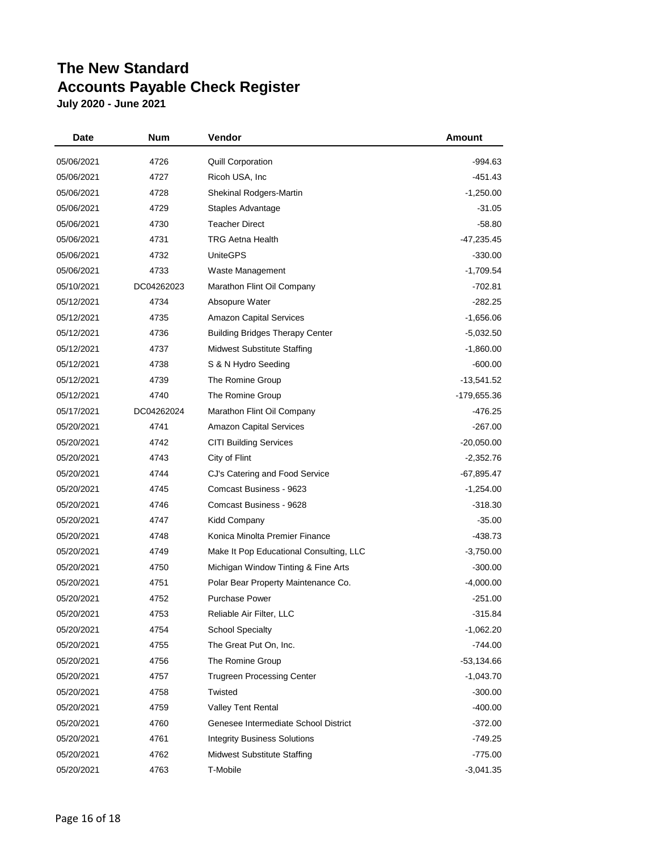| Date       | Num        | Vendor                                  | Amount       |
|------------|------------|-----------------------------------------|--------------|
| 05/06/2021 | 4726       | <b>Quill Corporation</b>                | $-994.63$    |
| 05/06/2021 | 4727       | Ricoh USA, Inc.                         | -451.43      |
| 05/06/2021 | 4728       | Shekinal Rodgers-Martin                 | $-1,250.00$  |
| 05/06/2021 | 4729       | Staples Advantage                       | $-31.05$     |
| 05/06/2021 | 4730       | <b>Teacher Direct</b>                   | $-58.80$     |
| 05/06/2021 | 4731       | <b>TRG Aetna Health</b>                 | -47,235.45   |
| 05/06/2021 | 4732       | <b>UniteGPS</b>                         | $-330.00$    |
| 05/06/2021 | 4733       | Waste Management                        | $-1,709.54$  |
| 05/10/2021 | DC04262023 | Marathon Flint Oil Company              | $-702.81$    |
| 05/12/2021 | 4734       | Absopure Water                          | $-282.25$    |
| 05/12/2021 | 4735       | <b>Amazon Capital Services</b>          | -1,656.06    |
| 05/12/2021 | 4736       | <b>Building Bridges Therapy Center</b>  | $-5,032.50$  |
| 05/12/2021 | 4737       | <b>Midwest Substitute Staffing</b>      | $-1,860.00$  |
| 05/12/2021 | 4738       | S & N Hydro Seeding                     | -600.00      |
| 05/12/2021 | 4739       | The Romine Group                        | -13,541.52   |
| 05/12/2021 | 4740       | The Romine Group                        | -179,655.36  |
| 05/17/2021 | DC04262024 | Marathon Flint Oil Company              | -476.25      |
| 05/20/2021 | 4741       | <b>Amazon Capital Services</b>          | $-267.00$    |
| 05/20/2021 | 4742       | <b>CITI Building Services</b>           | $-20,050.00$ |
| 05/20/2021 | 4743       | City of Flint                           | $-2,352.76$  |
| 05/20/2021 | 4744       | CJ's Catering and Food Service          | -67,895.47   |
| 05/20/2021 | 4745       | Comcast Business - 9623                 | $-1,254.00$  |
| 05/20/2021 | 4746       | Comcast Business - 9628                 | $-318.30$    |
| 05/20/2021 | 4747       | Kidd Company                            | $-35.00$     |
| 05/20/2021 | 4748       | Konica Minolta Premier Finance          | -438.73      |
| 05/20/2021 | 4749       | Make It Pop Educational Consulting, LLC | $-3,750.00$  |
| 05/20/2021 | 4750       | Michigan Window Tinting & Fine Arts     | $-300.00$    |
| 05/20/2021 | 4751       | Polar Bear Property Maintenance Co.     | $-4,000.00$  |
| 05/20/2021 | 4752       | <b>Purchase Power</b>                   | $-251.00$    |
| 05/20/2021 | 4753       | Reliable Air Filter, LLC                | -315.84      |
| 05/20/2021 | 4754       | <b>School Specialty</b>                 | $-1,062.20$  |
| 05/20/2021 | 4755       | The Great Put On, Inc.                  | -744.00      |
| 05/20/2021 | 4756       | The Romine Group                        | $-53,134.66$ |
| 05/20/2021 | 4757       | <b>Trugreen Processing Center</b>       | $-1,043.70$  |
| 05/20/2021 | 4758       | Twisted                                 | $-300.00$    |
| 05/20/2021 | 4759       | <b>Valley Tent Rental</b>               | $-400.00$    |
| 05/20/2021 | 4760       | Genesee Intermediate School District    | $-372.00$    |
| 05/20/2021 | 4761       | <b>Integrity Business Solutions</b>     | $-749.25$    |
| 05/20/2021 | 4762       | <b>Midwest Substitute Staffing</b>      | $-775.00$    |
| 05/20/2021 | 4763       | T-Mobile                                | $-3,041.35$  |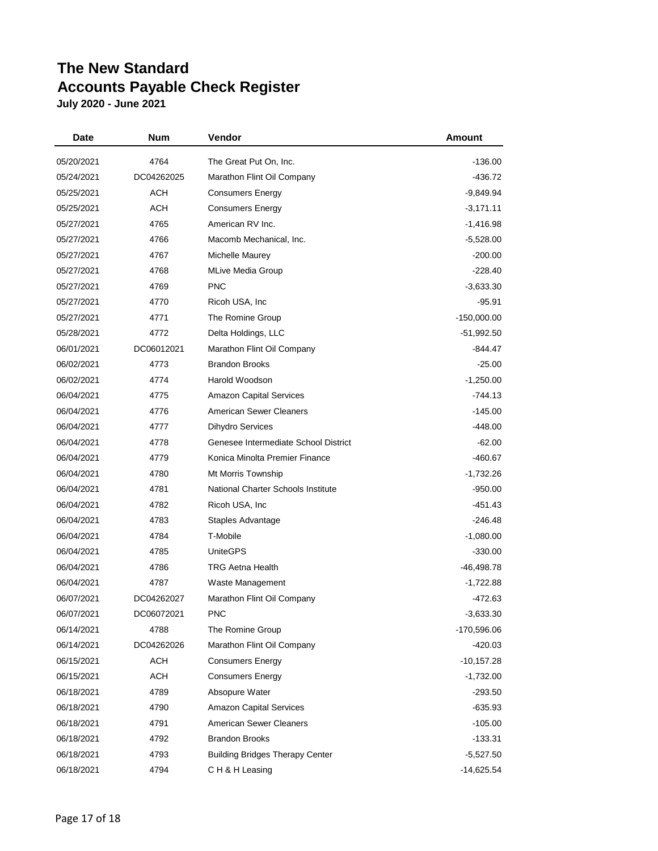| <b>Date</b> | Num        | Vendor                                 | Amount        |
|-------------|------------|----------------------------------------|---------------|
| 05/20/2021  | 4764       | The Great Put On, Inc.                 | $-136.00$     |
| 05/24/2021  | DC04262025 | Marathon Flint Oil Company             | $-436.72$     |
| 05/25/2021  | ACH        | <b>Consumers Energy</b>                | $-9,849.94$   |
| 05/25/2021  | ACH        | <b>Consumers Energy</b>                | $-3,171.11$   |
| 05/27/2021  | 4765       | American RV Inc.                       | $-1,416.98$   |
| 05/27/2021  | 4766       | Macomb Mechanical, Inc.                | $-5,528.00$   |
| 05/27/2021  | 4767       | Michelle Maurey                        | $-200.00$     |
| 05/27/2021  | 4768       | <b>MLive Media Group</b>               | $-228.40$     |
| 05/27/2021  | 4769       | <b>PNC</b>                             | $-3,633.30$   |
| 05/27/2021  | 4770       | Ricoh USA, Inc.                        | $-95.91$      |
| 05/27/2021  | 4771       | The Romine Group                       | $-150,000.00$ |
| 05/28/2021  | 4772       | Delta Holdings, LLC                    | $-51,992.50$  |
| 06/01/2021  | DC06012021 | Marathon Flint Oil Company             | -844.47       |
| 06/02/2021  | 4773       | <b>Brandon Brooks</b>                  | $-25.00$      |
| 06/02/2021  | 4774       | Harold Woodson                         | $-1,250.00$   |
| 06/04/2021  | 4775       | <b>Amazon Capital Services</b>         | -744.13       |
| 06/04/2021  | 4776       | American Sewer Cleaners                | $-145.00$     |
| 06/04/2021  | 4777       | <b>Dihydro Services</b>                | $-448.00$     |
| 06/04/2021  | 4778       | Genesee Intermediate School District   | $-62.00$      |
| 06/04/2021  | 4779       | Konica Minolta Premier Finance         | -460.67       |
| 06/04/2021  | 4780       | Mt Morris Township                     | $-1,732.26$   |
| 06/04/2021  | 4781       | National Charter Schools Institute     | $-950.00$     |
| 06/04/2021  | 4782       | Ricoh USA, Inc.                        | -451.43       |
| 06/04/2021  | 4783       | Staples Advantage                      | $-246.48$     |
| 06/04/2021  | 4784       | T-Mobile                               | $-1,080.00$   |
| 06/04/2021  | 4785       | <b>UniteGPS</b>                        | $-330.00$     |
| 06/04/2021  | 4786       | <b>TRG Aetna Health</b>                | $-46,498.78$  |
| 06/04/2021  | 4787       | Waste Management                       | $-1,722.88$   |
| 06/07/2021  | DC04262027 | Marathon Flint Oil Company             | -472.63       |
| 06/07/2021  | DC06072021 | <b>PNC</b>                             | $-3,633.30$   |
| 06/14/2021  | 4788       | The Romine Group                       | -170,596.06   |
| 06/14/2021  | DC04262026 | Marathon Flint Oil Company             | -420.03       |
| 06/15/2021  | <b>ACH</b> | <b>Consumers Energy</b>                | $-10,157.28$  |
| 06/15/2021  | ACH        | <b>Consumers Energy</b>                | $-1,732.00$   |
| 06/18/2021  | 4789       | Absopure Water                         | $-293.50$     |
| 06/18/2021  | 4790       | <b>Amazon Capital Services</b>         | $-635.93$     |
| 06/18/2021  | 4791       | <b>American Sewer Cleaners</b>         | $-105.00$     |
| 06/18/2021  | 4792       | <b>Brandon Brooks</b>                  | $-133.31$     |
| 06/18/2021  | 4793       | <b>Building Bridges Therapy Center</b> | $-5,527.50$   |
| 06/18/2021  | 4794       | CH & H Leasing                         | $-14,625.54$  |